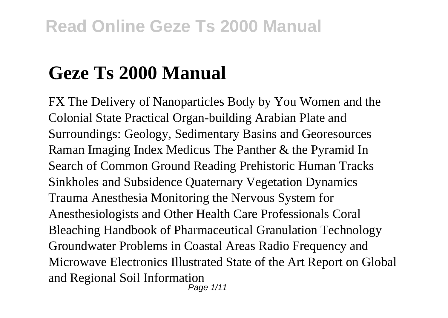# **Geze Ts 2000 Manual**

FX The Delivery of Nanoparticles Body by You Women and the Colonial State Practical Organ-building Arabian Plate and Surroundings: Geology, Sedimentary Basins and Georesources Raman Imaging Index Medicus The Panther & the Pyramid In Search of Common Ground Reading Prehistoric Human Tracks Sinkholes and Subsidence Quaternary Vegetation Dynamics Trauma Anesthesia Monitoring the Nervous System for Anesthesiologists and Other Health Care Professionals Coral Bleaching Handbook of Pharmaceutical Granulation Technology Groundwater Problems in Coastal Areas Radio Frequency and Microwave Electronics Illustrated State of the Art Report on Global and Regional Soil Information Page 1/11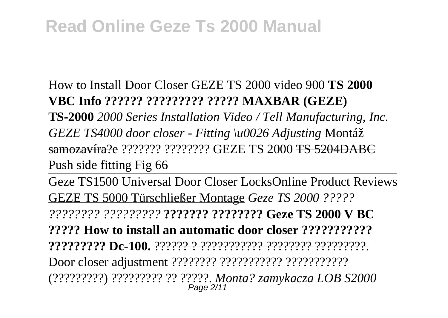How to Install Door Closer GEZE TS 2000 video 900 **TS 2000 VBC Info ?????? ????????? ????? MAXBAR (GEZE) TS-2000** *2000 Series Installation Video / Tell Manufacturing, Inc. GEZE TS4000 door closer - Fitting \u0026 Adjusting* Montáž samozavíra?e ??????? ???????? GEZE TS 2000 TS 5204DABC Push side fitting Fig 66

Geze TS1500 Universal Door Closer LocksOnline Product Reviews GEZE TS 5000 Türschließer Montage *Geze TS 2000 ????? ???????? ?????????* **??????? ???????? Geze TS 2000 V BC**

**????? How to install an automatic door closer ??????????? ????????? Dc-100.** ?????? ? ??????????? ???????? ?????????.

Door closer adjustment ???????? ??????????? ???????????

(?????????) ????????? ?? ?????. *Monta? zamykacza LOB S2000* Page 2/11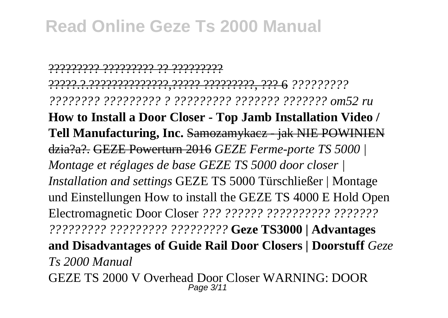????????? ????????? ?? ????????? ?????.?.??????????????,????? ?????????, ??? 6 *????????? ???????? ????????? ? ????????? ??????? ??????? om52 ru* **How to Install a Door Closer - Top Jamb Installation Video / Tell Manufacturing, Inc.** Samozamykacz - jak NIE POWINIEN dzia?a?. GEZE Powerturn 2016 *GEZE Ferme-porte TS 5000 | Montage et réglages de base GEZE TS 5000 door closer | Installation and settings* GEZE TS 5000 Türschließer | Montage und Einstellungen How to install the GEZE TS 4000 E Hold Open Electromagnetic Door Closer *??? ?????? ?????????? ??????? ????????? ????????? ?????????* **Geze TS3000 | Advantages and Disadvantages of Guide Rail Door Closers | Doorstuff** *Geze Ts 2000 Manual* GEZE TS 2000 V Overhead Door Closer WARNING: DOOR Page 3/11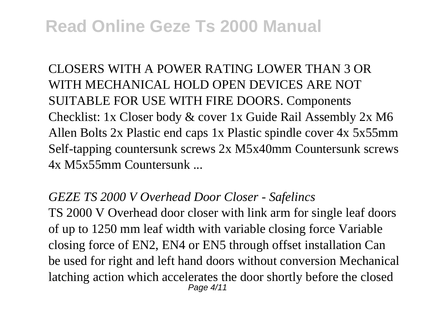CLOSERS WITH A POWER RATING LOWER THAN 3 OR WITH MECHANICAL HOLD OPEN DEVICES ARE NOT SUITABLE FOR USE WITH FIRE DOORS. Components Checklist: 1x Closer body & cover 1x Guide Rail Assembly 2x M6 Allen Bolts 2x Plastic end caps 1x Plastic spindle cover 4x 5x55mm Self-tapping countersunk screws 2x M5x40mm Countersunk screws 4x M5x55mm Countersunk ...

#### *GEZE TS 2000 V Overhead Door Closer - Safelincs*

TS 2000 V Overhead door closer with link arm for single leaf doors of up to 1250 mm leaf width with variable closing force Variable closing force of EN2, EN4 or EN5 through offset installation Can be used for right and left hand doors without conversion Mechanical latching action which accelerates the door shortly before the closed Page 4/11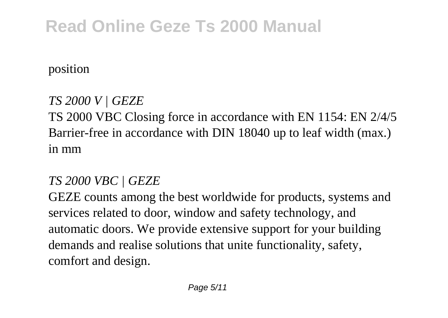position

### *TS 2000 V | GEZE*

TS 2000 VBC Closing force in accordance with EN 1154: EN 2/4/5 Barrier-free in accordance with DIN 18040 up to leaf width (max.) in mm

### *TS 2000 VBC | GEZE*

GEZE counts among the best worldwide for products, systems and services related to door, window and safety technology, and automatic doors. We provide extensive support for your building demands and realise solutions that unite functionality, safety, comfort and design.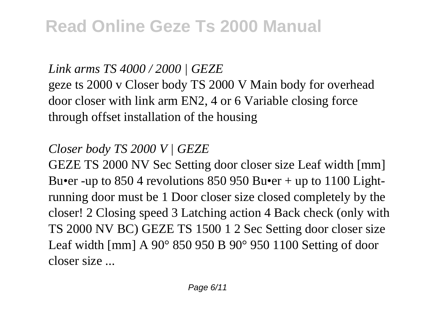#### *Link arms TS 4000 / 2000 | GEZE*

geze ts 2000 v Closer body TS 2000 V Main body for overhead door closer with link arm EN2, 4 or 6 Variable closing force through offset installation of the housing

### *Closer body TS 2000 V | GEZE*

GEZE TS 2000 NV Sec Setting door closer size Leaf width [mm] Bu•er -up to  $8504$  revolutions  $850950$  Bu•er + up to  $1100$  Lightrunning door must be 1 Door closer size closed completely by the closer! 2 Closing speed 3 Latching action 4 Back check (only with TS 2000 NV BC) GEZE TS 1500 1 2 Sec Setting door closer size Leaf width [mm] A 90° 850 950 B 90° 950 1100 Setting of door closer size ...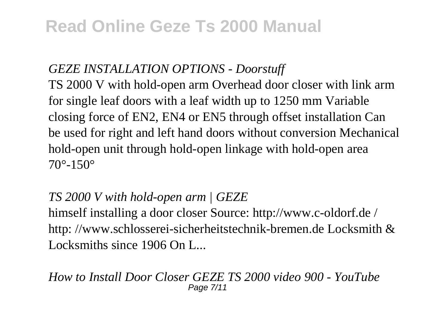#### *GEZE INSTALLATION OPTIONS - Doorstuff*

TS 2000 V with hold-open arm Overhead door closer with link arm for single leaf doors with a leaf width up to 1250 mm Variable closing force of EN2, EN4 or EN5 through offset installation Can be used for right and left hand doors without conversion Mechanical hold-open unit through hold-open linkage with hold-open area 70°-150°

### *TS 2000 V with hold-open arm | GEZE*

himself installing a door closer Source: http://www.c-oldorf.de / http: //www.schlosserei-sicherheitstechnik-bremen.de Locksmith & Locksmiths since 1906 On L...

#### *How to Install Door Closer GEZE TS 2000 video 900 - YouTube* Page 7/11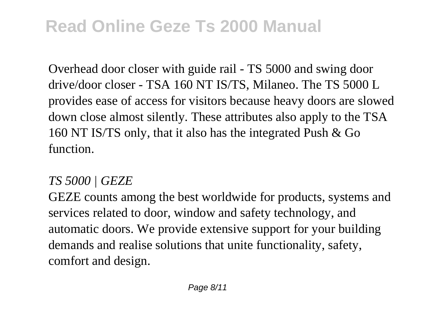Overhead door closer with guide rail - TS 5000 and swing door drive/door closer - TSA 160 NT IS/TS, Milaneo. The TS 5000 L provides ease of access for visitors because heavy doors are slowed down close almost silently. These attributes also apply to the TSA 160 NT IS/TS only, that it also has the integrated Push & Go function.

#### *TS 5000 | GEZE*

GEZE counts among the best worldwide for products, systems and services related to door, window and safety technology, and automatic doors. We provide extensive support for your building demands and realise solutions that unite functionality, safety, comfort and design.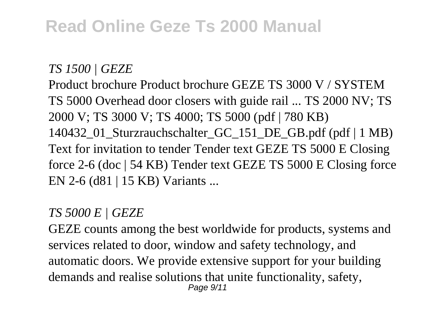#### *TS 1500 | GEZE*

Product brochure Product brochure GEZE TS 3000 V / SYSTEM TS 5000 Overhead door closers with guide rail ... TS 2000 NV; TS 2000 V; TS 3000 V; TS 4000; TS 5000 (pdf | 780 KB) 140432\_01\_Sturzrauchschalter\_GC\_151\_DE\_GB.pdf (pdf | 1 MB) Text for invitation to tender Tender text GEZE TS 5000 E Closing force 2-6 (doc | 54 KB) Tender text GEZE TS 5000 E Closing force EN 2-6 (d81 | 15 KB) Variants ...

#### *TS 5000 E | GEZE*

GEZE counts among the best worldwide for products, systems and services related to door, window and safety technology, and automatic doors. We provide extensive support for your building demands and realise solutions that unite functionality, safety, Page  $9/11$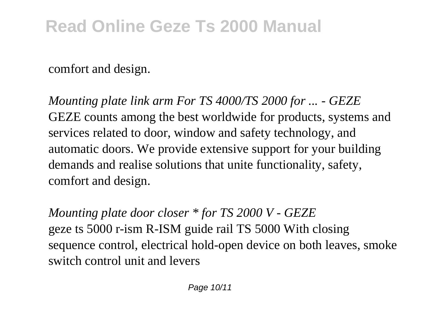comfort and design.

*Mounting plate link arm For TS 4000/TS 2000 for ... - GEZE* GEZE counts among the best worldwide for products, systems and services related to door, window and safety technology, and automatic doors. We provide extensive support for your building demands and realise solutions that unite functionality, safety, comfort and design.

*Mounting plate door closer \* for TS 2000 V - GEZE* geze ts 5000 r-ism R-ISM guide rail TS 5000 With closing sequence control, electrical hold-open device on both leaves, smoke switch control unit and levers